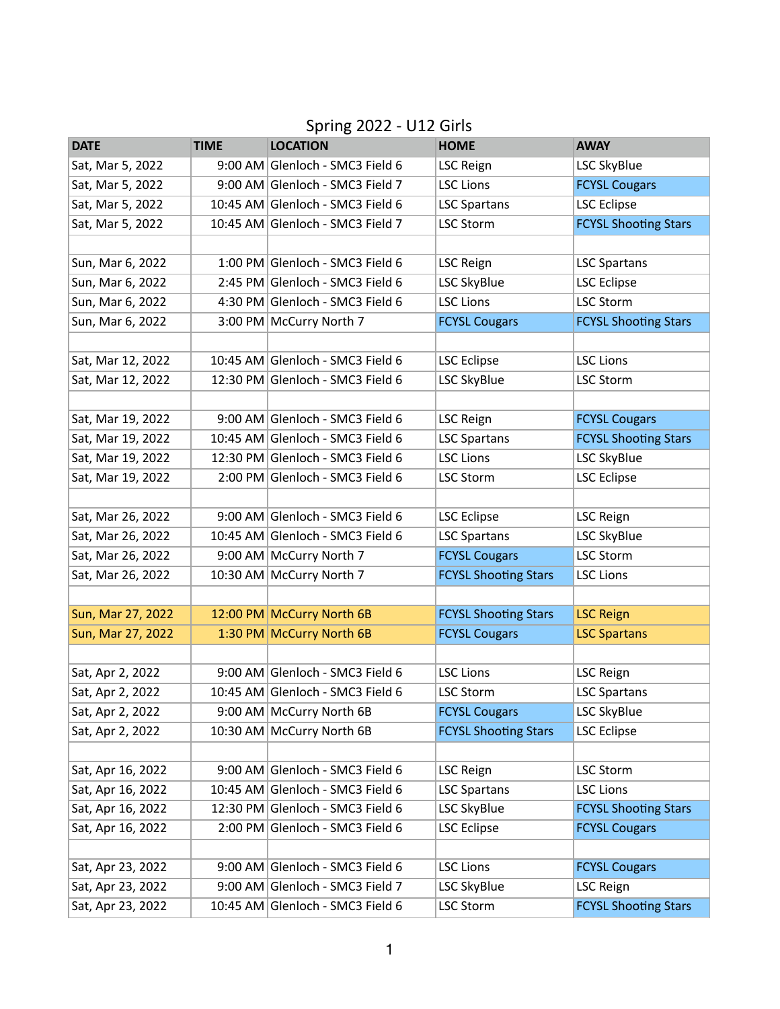| <b>DATE</b>       | <b>TIME</b> | <b>LOCATION</b>                  | <b>HOME</b>                 | <b>AWAY</b>                 |
|-------------------|-------------|----------------------------------|-----------------------------|-----------------------------|
| Sat, Mar 5, 2022  |             | 9:00 AM Glenloch - SMC3 Field 6  | LSC Reign                   | LSC SkyBlue                 |
| Sat, Mar 5, 2022  |             | 9:00 AM Glenloch - SMC3 Field 7  | <b>LSC Lions</b>            | <b>FCYSL Cougars</b>        |
| Sat, Mar 5, 2022  |             | 10:45 AM Glenloch - SMC3 Field 6 | <b>LSC Spartans</b>         | <b>LSC Eclipse</b>          |
| Sat, Mar 5, 2022  |             | 10:45 AM Glenloch - SMC3 Field 7 | <b>LSC Storm</b>            | <b>FCYSL Shooting Stars</b> |
|                   |             |                                  |                             |                             |
| Sun, Mar 6, 2022  |             | 1:00 PM Glenloch - SMC3 Field 6  | <b>LSC Reign</b>            | <b>LSC Spartans</b>         |
| Sun, Mar 6, 2022  |             | 2:45 PM Glenloch - SMC3 Field 6  | LSC SkyBlue                 | <b>LSC Eclipse</b>          |
| Sun, Mar 6, 2022  |             | 4:30 PM Glenloch - SMC3 Field 6  | <b>LSC Lions</b>            | <b>LSC Storm</b>            |
| Sun, Mar 6, 2022  |             | 3:00 PM McCurry North 7          | <b>FCYSL Cougars</b>        | <b>FCYSL Shooting Stars</b> |
|                   |             |                                  |                             |                             |
| Sat, Mar 12, 2022 |             | 10:45 AM Glenloch - SMC3 Field 6 | <b>LSC Eclipse</b>          | <b>LSC Lions</b>            |
| Sat, Mar 12, 2022 |             | 12:30 PM Glenloch - SMC3 Field 6 | LSC SkyBlue                 | <b>LSC Storm</b>            |
|                   |             |                                  |                             |                             |
| Sat, Mar 19, 2022 |             | 9:00 AM Glenloch - SMC3 Field 6  | <b>LSC Reign</b>            | <b>FCYSL Cougars</b>        |
| Sat, Mar 19, 2022 |             | 10:45 AM Glenloch - SMC3 Field 6 | <b>LSC Spartans</b>         | <b>FCYSL Shooting Stars</b> |
| Sat, Mar 19, 2022 |             | 12:30 PM Glenloch - SMC3 Field 6 | <b>LSC Lions</b>            | <b>LSC SkyBlue</b>          |
| Sat, Mar 19, 2022 |             | 2:00 PM Glenloch - SMC3 Field 6  | <b>LSC Storm</b>            | <b>LSC Eclipse</b>          |
|                   |             |                                  |                             |                             |
| Sat, Mar 26, 2022 |             | 9:00 AM Glenloch - SMC3 Field 6  | <b>LSC Eclipse</b>          | <b>LSC Reign</b>            |
| Sat, Mar 26, 2022 |             | 10:45 AM Glenloch - SMC3 Field 6 | <b>LSC Spartans</b>         | LSC SkyBlue                 |
| Sat, Mar 26, 2022 |             | 9:00 AM McCurry North 7          | <b>FCYSL Cougars</b>        | <b>LSC Storm</b>            |
| Sat, Mar 26, 2022 |             | 10:30 AM McCurry North 7         | <b>FCYSL Shooting Stars</b> | <b>LSC Lions</b>            |
|                   |             |                                  |                             |                             |
| Sun, Mar 27, 2022 |             | 12:00 PM McCurry North 6B        | <b>FCYSL Shooting Stars</b> | <b>LSC Reign</b>            |
| Sun, Mar 27, 2022 |             | 1:30 PM McCurry North 6B         | <b>FCYSL Cougars</b>        | <b>LSC Spartans</b>         |
|                   |             |                                  |                             |                             |
| Sat, Apr 2, 2022  |             | 9:00 AM Glenloch - SMC3 Field 6  | <b>LSC Lions</b>            | <b>LSC Reign</b>            |
| Sat, Apr 2, 2022  |             | 10:45 AM Glenloch - SMC3 Field 6 | <b>LSC Storm</b>            | <b>LSC Spartans</b>         |
| Sat, Apr 2, 2022  |             | 9:00 AM   McCurry North 6B       | <b>FCYSL Cougars</b>        | LSC SkyBlue                 |
| Sat, Apr 2, 2022  |             | 10:30 AM McCurry North 6B        | <b>FCYSL Shooting Stars</b> | <b>LSC Eclipse</b>          |
|                   |             |                                  |                             |                             |
| Sat, Apr 16, 2022 |             | 9:00 AM Glenloch - SMC3 Field 6  | LSC Reign                   | <b>LSC Storm</b>            |
| Sat, Apr 16, 2022 |             | 10:45 AM Glenloch - SMC3 Field 6 | <b>LSC Spartans</b>         | <b>LSC Lions</b>            |
| Sat, Apr 16, 2022 |             | 12:30 PM Glenloch - SMC3 Field 6 | LSC SkyBlue                 | <b>FCYSL Shooting Stars</b> |
| Sat, Apr 16, 2022 |             | 2:00 PM Glenloch - SMC3 Field 6  | <b>LSC Eclipse</b>          | <b>FCYSL Cougars</b>        |
|                   |             |                                  |                             |                             |
| Sat, Apr 23, 2022 |             | 9:00 AM Glenloch - SMC3 Field 6  | <b>LSC Lions</b>            | <b>FCYSL Cougars</b>        |
| Sat, Apr 23, 2022 |             | 9:00 AM Glenloch - SMC3 Field 7  | LSC SkyBlue                 | <b>LSC Reign</b>            |
| Sat, Apr 23, 2022 |             | 10:45 AM Glenloch - SMC3 Field 6 | <b>LSC Storm</b>            | <b>FCYSL Shooting Stars</b> |

## Spring 2022 - U12 Girls